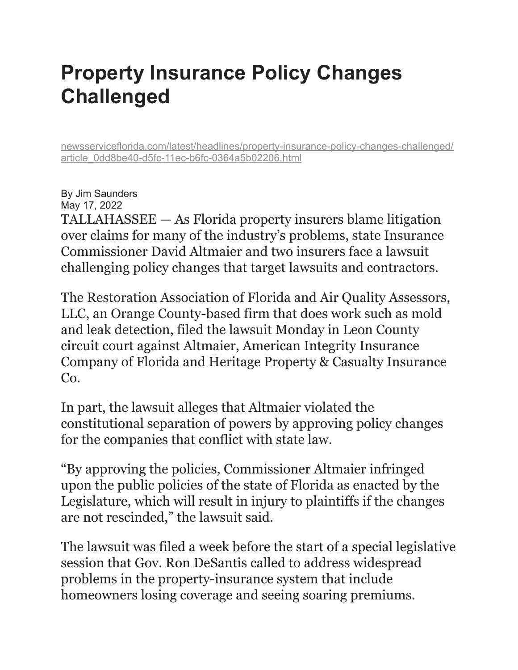## **Property Insurance Policy Changes Challenged**

[newsserviceflorida.com/latest/headlines/property-insurance-policy-changes-challenged/](http://newsserviceflorida.com/latest/headlines/property-insurance-policy-changes-challenged/article_0dd8be40-d5fc-11ec-b6fc-0364a5b02206.html) [article\\_0dd8be40-d5fc-11ec-b6fc-0364a5b02206.html](http://newsserviceflorida.com/latest/headlines/property-insurance-policy-changes-challenged/article_0dd8be40-d5fc-11ec-b6fc-0364a5b02206.html)

By Jim Saunders May 17, 2022 TALLAHASSEE — As Florida property insurers blame litigation over claims for many of the industry's problems, state Insurance Commissioner David Altmaier and two insurers face a lawsuit challenging policy changes that target lawsuits and contractors.

The Restoration Association of Florida and Air Quality Assessors, LLC, an Orange County-based firm that does work such as mold and leak detection, filed the lawsuit Monday in Leon County circuit court against Altmaier, American Integrity Insurance Company of Florida and Heritage Property & Casualty Insurance Co.

In part, the lawsuit alleges that Altmaier violated the constitutional separation of powers by approving policy changes for the companies that conflict with state law.

"By approving the policies, Commissioner Altmaier infringed upon the public policies of the state of Florida as enacted by the Legislature, which will result in injury to plaintiffs if the changes are not rescinded," the lawsuit said.

The lawsuit was filed a week before the start of a special legislative session that Gov. Ron DeSantis called to address widespread problems in the property-insurance system that include homeowners losing coverage and seeing soaring premiums.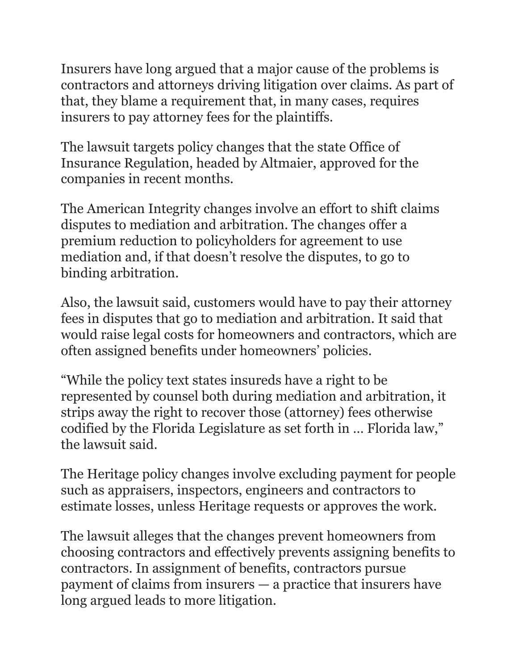Insurers have long argued that a major cause of the problems is contractors and attorneys driving litigation over claims. As part of that, they blame a requirement that, in many cases, requires insurers to pay attorney fees for the plaintiffs.

The lawsuit targets policy changes that the state Office of Insurance Regulation, headed by Altmaier, approved for the companies in recent months.

The American Integrity changes involve an effort to shift claims disputes to mediation and arbitration. The changes offer a premium reduction to policyholders for agreement to use mediation and, if that doesn't resolve the disputes, to go to binding arbitration.

Also, the lawsuit said, customers would have to pay their attorney fees in disputes that go to mediation and arbitration. It said that would raise legal costs for homeowners and contractors, which are often assigned benefits under homeowners' policies.

"While the policy text states insureds have a right to be represented by counsel both during mediation and arbitration, it strips away the right to recover those (attorney) fees otherwise codified by the Florida Legislature as set forth in … Florida law," the lawsuit said.

The Heritage policy changes involve excluding payment for people such as appraisers, inspectors, engineers and contractors to estimate losses, unless Heritage requests or approves the work.

The lawsuit alleges that the changes prevent homeowners from choosing contractors and effectively prevents assigning benefits to contractors. In assignment of benefits, contractors pursue payment of claims from insurers — a practice that insurers have long argued leads to more litigation.